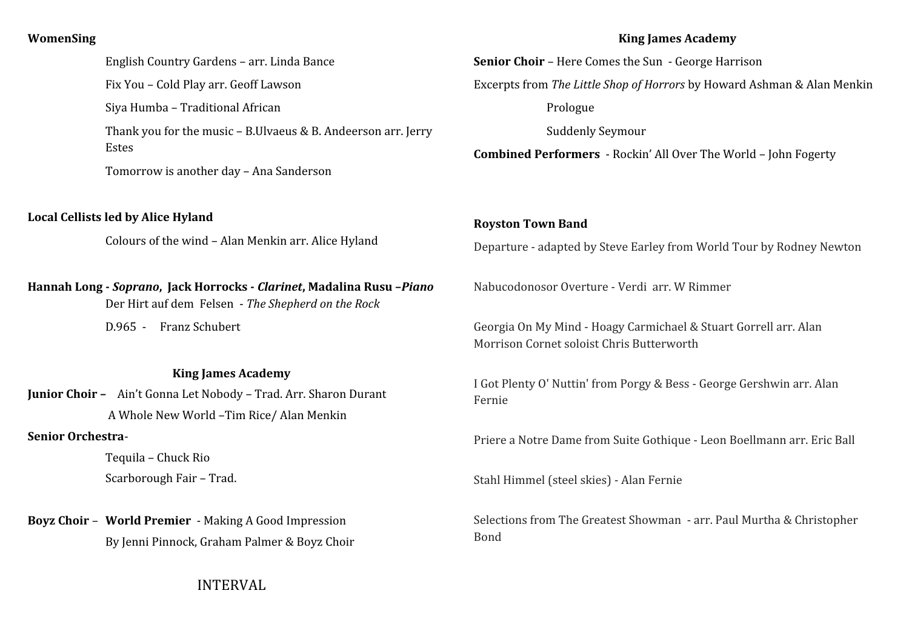#### **WomenSing**

English Country Gardens – arr. Linda Bance Fix You – Cold Play arr. Geoff Lawson Siya Humba – Traditional African Thank you for the music – B.Ulvaeus & B. Andeerson arr. Jerry Estes Tomorrow is another day – Ana Sanderson

# **Local Cellists led by Alice Hyland**

Colours of the wind – Alan Menkin arr. Alice Hyland

## **Hannah Long -** *Soprano***, Jack Horrocks -** *Clarinet***, Madalina Rusu –***Piano*

Der Hirt auf dem Felsen - *The Shepherd on the Rock* 

D.965 - Franz Schubert

#### **King James Academy**

**Junior Choir –** Ain't Gonna Let Nobody – Trad. Arr. Sharon Durant A Whole New World –Tim Rice/ Alan Menkin

#### **Senior Orchestra**-

Tequila – Chuck Rio Scarborough Fair – Trad.

**Boyz Choir** – **World Premier** - Making A Good Impression By Jenni Pinnock, Graham Palmer & Boyz Choir

# INTERVAL

# **King James Academy**

**Senior Choir** – Here Comes the Sun - George Harrison Excerpts from *The Little Shop of Horrors* by Howard Ashman & Alan Menkin Prologue Suddenly Seymour **Combined Performers** - Rockin' All Over The World – John Fogerty

### **Royston Town Band**

Departure - adapted by Steve Earley from World Tour by Rodney Newton

Nabucodonosor Overture - Verdi arr. W Rimmer

Georgia On My Mind - Hoagy Carmichael & Stuart Gorrell arr. Alan Morrison Cornet soloist Chris Butterworth

I Got Plenty O' Nuttin' from Porgy & Bess - George Gershwin arr. Alan Fernie

Priere a Notre Dame from Suite Gothique - Leon Boellmann arr. Eric Ball

Stahl Himmel (steel skies) - Alan Fernie

Selections from The Greatest Showman - arr. Paul Murtha & Christopher Bond